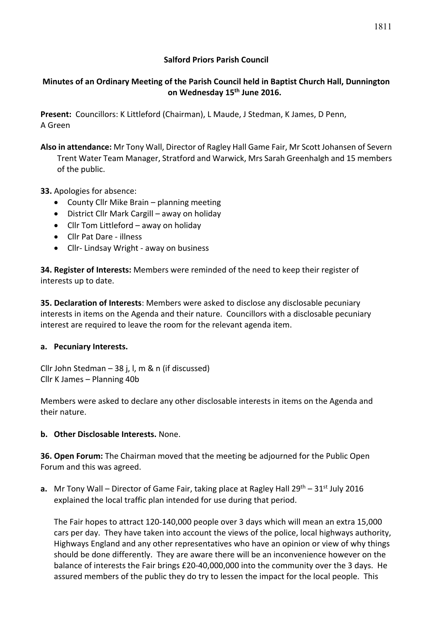## **Salford Priors Parish Council**

# **Minutes of an Ordinary Meeting of the Parish Council held in Baptist Church Hall, Dunnington on Wednesday 15th June 2016.**

**Present:** Councillors: K Littleford (Chairman), L Maude, J Stedman, K James, D Penn, A Green

- **Also in attendance:** Mr Tony Wall, Director of Ragley Hall Game Fair, Mr Scott Johansen of Severn Trent Water Team Manager, Stratford and Warwick, Mrs Sarah Greenhalgh and 15 members of the public.
- **33.** Apologies for absence:
	- County Cllr Mike Brain planning meeting
	- District Cllr Mark Cargill away on holiday
	- Cllr Tom Littleford away on holiday
	- Cllr Pat Dare illness
	- Cllr- Lindsay Wright away on business

**34. Register of Interests:** Members were reminded of the need to keep their register of interests up to date.

**35. Declaration of Interests**: Members were asked to disclose any disclosable pecuniary interests in items on the Agenda and their nature. Councillors with a disclosable pecuniary interest are required to leave the room for the relevant agenda item.

#### **a. Pecuniary Interests.**

Cllr John Stedman – 38 j, l, m & n (if discussed) Cllr K James – Planning 40b

Members were asked to declare any other disclosable interests in items on the Agenda and their nature.

## **b. Other Disclosable Interests.** None.

**36. Open Forum:** The Chairman moved that the meeting be adjourned for the Public Open Forum and this was agreed.

**a.** Mr Tony Wall – Director of Game Fair, taking place at Ragley Hall 29<sup>th</sup> – 31<sup>st</sup> July 2016 explained the local traffic plan intended for use during that period.

The Fair hopes to attract 120-140,000 people over 3 days which will mean an extra 15,000 cars per day. They have taken into account the views of the police, local highways authority, Highways England and any other representatives who have an opinion or view of why things should be done differently. They are aware there will be an inconvenience however on the balance of interests the Fair brings £20-40,000,000 into the community over the 3 days. He assured members of the public they do try to lessen the impact for the local people. This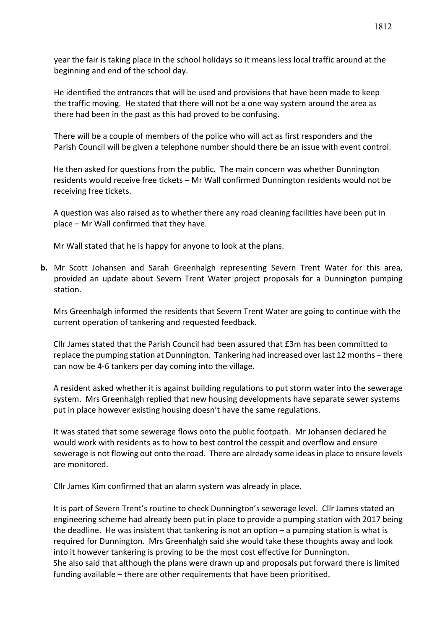year the fair is taking place in the school holidays so it means less local traffic around at the beginning and end of the school day.

He identified the entrances that will be used and provisions that have been made to keep the traffic moving. He stated that there will not be a one way system around the area as there had been in the past as this had proved to be confusing.

There will be a couple of members of the police who will act as first responders and the Parish Council will be given a telephone number should there be an issue with event control.

He then asked for questions from the public. The main concern was whether Dunnington residents would receive free tickets – Mr Wall confirmed Dunnington residents would not be receiving free tickets.

A question was also raised as to whether there any road cleaning facilities have been put in place – Mr Wall confirmed that they have.

Mr Wall stated that he is happy for anyone to look at the plans.

**b.** Mr Scott Johansen and Sarah Greenhalgh representing Severn Trent Water for this area, provided an update about Severn Trent Water project proposals for a Dunnington pumping station.

Mrs Greenhalgh informed the residents that Severn Trent Water are going to continue with the current operation of tankering and requested feedback.

Cllr James stated that the Parish Council had been assured that £3m has been committed to replace the pumping station at Dunnington. Tankering had increased over last 12 months – there can now be 4-6 tankers per day coming into the village.

A resident asked whether it is against building regulations to put storm water into the sewerage system. Mrs Greenhalgh replied that new housing developments have separate sewer systems put in place however existing housing doesn't have the same regulations.

It was stated that some sewerage flows onto the public footpath. Mr Johansen declared he would work with residents as to how to best control the cesspit and overflow and ensure sewerage is not flowing out onto the road. There are already some ideas in place to ensure levels are monitored.

Cllr James Kim confirmed that an alarm system was already in place.

It is part of Severn Trent's routine to check Dunnington's sewerage level. Cllr James stated an engineering scheme had already been put in place to provide a pumping station with 2017 being the deadline. He was insistent that tankering is not an option – a pumping station is what is required for Dunnington. Mrs Greenhalgh said she would take these thoughts away and look into it however tankering is proving to be the most cost effective for Dunnington. She also said that although the plans were drawn up and proposals put forward there is limited funding available – there are other requirements that have been prioritised.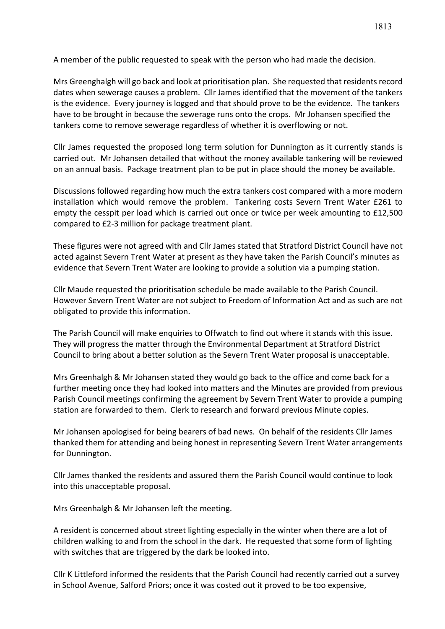A member of the public requested to speak with the person who had made the decision.

Mrs Greenghalgh will go back and look at prioritisation plan. She requested that residents record dates when sewerage causes a problem. Cllr James identified that the movement of the tankers is the evidence. Every journey is logged and that should prove to be the evidence. The tankers have to be brought in because the sewerage runs onto the crops. Mr Johansen specified the tankers come to remove sewerage regardless of whether it is overflowing or not.

Cllr James requested the proposed long term solution for Dunnington as it currently stands is carried out. Mr Johansen detailed that without the money available tankering will be reviewed on an annual basis. Package treatment plan to be put in place should the money be available.

Discussions followed regarding how much the extra tankers cost compared with a more modern installation which would remove the problem. Tankering costs Severn Trent Water £261 to empty the cesspit per load which is carried out once or twice per week amounting to £12,500 compared to £2-3 million for package treatment plant.

These figures were not agreed with and Cllr James stated that Stratford District Council have not acted against Severn Trent Water at present as they have taken the Parish Council's minutes as evidence that Severn Trent Water are looking to provide a solution via a pumping station.

Cllr Maude requested the prioritisation schedule be made available to the Parish Council. However Severn Trent Water are not subject to Freedom of Information Act and as such are not obligated to provide this information.

The Parish Council will make enquiries to Offwatch to find out where it stands with this issue. They will progress the matter through the Environmental Department at Stratford District Council to bring about a better solution as the Severn Trent Water proposal is unacceptable.

Mrs Greenhalgh & Mr Johansen stated they would go back to the office and come back for a further meeting once they had looked into matters and the Minutes are provided from previous Parish Council meetings confirming the agreement by Severn Trent Water to provide a pumping station are forwarded to them. Clerk to research and forward previous Minute copies.

Mr Johansen apologised for being bearers of bad news. On behalf of the residents Cllr James thanked them for attending and being honest in representing Severn Trent Water arrangements for Dunnington.

Cllr James thanked the residents and assured them the Parish Council would continue to look into this unacceptable proposal.

Mrs Greenhalgh & Mr Johansen left the meeting.

A resident is concerned about street lighting especially in the winter when there are a lot of children walking to and from the school in the dark. He requested that some form of lighting with switches that are triggered by the dark be looked into.

Cllr K Littleford informed the residents that the Parish Council had recently carried out a survey in School Avenue, Salford Priors; once it was costed out it proved to be too expensive,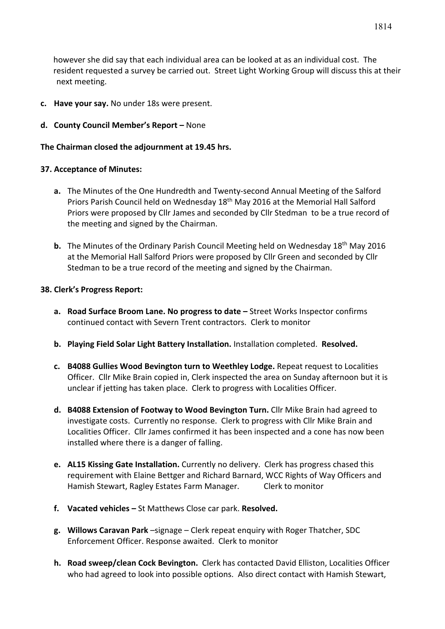however she did say that each individual area can be looked at as an individual cost. The resident requested a survey be carried out. Street Light Working Group will discuss this at their next meeting.

- **c. Have your say.** No under 18s were present.
- **d. County Council Member's Report –** None

#### **The Chairman closed the adjournment at 19.45 hrs.**

## **37. Acceptance of Minutes:**

- **a.** The Minutes of the One Hundredth and Twenty-second Annual Meeting of the Salford Priors Parish Council held on Wednesday 18<sup>th</sup> May 2016 at the Memorial Hall Salford Priors were proposed by Cllr James and seconded by Cllr Stedman to be a true record of the meeting and signed by the Chairman.
- **b.** The Minutes of the Ordinary Parish Council Meeting held on Wednesday 18<sup>th</sup> May 2016 at the Memorial Hall Salford Priors were proposed by Cllr Green and seconded by Cllr Stedman to be a true record of the meeting and signed by the Chairman.

## **38. Clerk's Progress Report:**

- **a. Road Surface Broom Lane. No progress to date –** Street Works Inspector confirms continued contact with Severn Trent contractors. Clerk to monitor
- **b. Playing Field Solar Light Battery Installation.** Installation completed. **Resolved.**
- **c. B4088 Gullies Wood Bevington turn to Weethley Lodge.** Repeat request to Localities Officer. Cllr Mike Brain copied in, Clerk inspected the area on Sunday afternoon but it is unclear if jetting has taken place. Clerk to progress with Localities Officer.
- **d. B4088 Extension of Footway to Wood Bevington Turn.** Cllr Mike Brain had agreed to investigate costs. Currently no response. Clerk to progress with Cllr Mike Brain and Localities Officer. Cllr James confirmed it has been inspected and a cone has now been installed where there is a danger of falling.
- **e. AL15 Kissing Gate Installation.** Currently no delivery. Clerk has progress chased this requirement with Elaine Bettger and Richard Barnard, WCC Rights of Way Officers and Hamish Stewart, Ragley Estates Farm Manager. Clerk to monitor
- **f. Vacated vehicles –** St Matthews Close car park. **Resolved.**
- **g. Willows Caravan Park** –signage Clerk repeat enquiry with Roger Thatcher, SDC Enforcement Officer. Response awaited. Clerk to monitor
- **h. Road sweep/clean Cock Bevington.** Clerk has contacted David Elliston, Localities Officer who had agreed to look into possible options. Also direct contact with Hamish Stewart,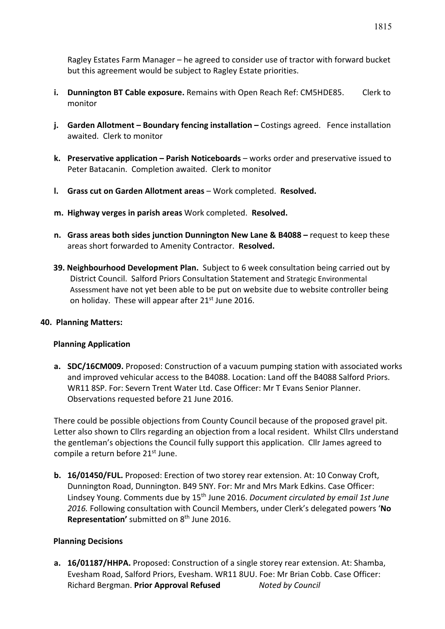Ragley Estates Farm Manager – he agreed to consider use of tractor with forward bucket but this agreement would be subject to Ragley Estate priorities.

- **i. Dunnington BT Cable exposure.** Remains with Open Reach Ref: CM5HDE85. Clerk to monitor
- **j. Garden Allotment – Boundary fencing installation –** Costings agreed. Fence installation awaited. Clerk to monitor
- **k. Preservative application – Parish Noticeboards** works order and preservative issued to Peter Batacanin. Completion awaited. Clerk to monitor
- **l. Grass cut on Garden Allotment areas** Work completed. **Resolved.**
- **m. Highway verges in parish areas** Work completed. **Resolved.**
- **n. Grass areas both sides junction Dunnington New Lane & B4088 –** request to keep these areas short forwarded to Amenity Contractor. **Resolved.**
- **39. Neighbourhood Development Plan.** Subject to 6 week consultation being carried out by District Council. Salford Priors Consultation Statement and Strategic Environmental Assessment have not yet been able to be put on website due to website controller being on holiday. These will appear after 21<sup>st</sup> June 2016.

#### **40. Planning Matters:**

## **Planning Application**

**a. SDC/16CM009.** Proposed: Construction of a vacuum pumping station with associated works and improved vehicular access to the B4088. Location: Land off the B4088 Salford Priors. WR11 8SP. For: Severn Trent Water Ltd. Case Officer: Mr T Evans Senior Planner. Observations requested before 21 June 2016.

There could be possible objections from County Council because of the proposed gravel pit. Letter also shown to Cllrs regarding an objection from a local resident. Whilst Cllrs understand the gentleman's objections the Council fully support this application. Cllr James agreed to compile a return before 21<sup>st</sup> June.

**b. 16/01450/FUL.** Proposed: Erection of two storey rear extension. At: 10 Conway Croft, Dunnington Road, Dunnington. B49 5NY. For: Mr and Mrs Mark Edkins. Case Officer: Lindsey Young. Comments due by 15th June 2016. *Document circulated by email 1st June 2016.* Following consultation with Council Members, under Clerk's delegated powers '**No Representation'** submitted on 8<sup>th</sup> June 2016.

## **Planning Decisions**

**a. 16/01187/HHPA.** Proposed: Construction of a single storey rear extension. At: Shamba, Evesham Road, Salford Priors, Evesham. WR11 8UU. Foe: Mr Brian Cobb. Case Officer: Richard Bergman. **Prior Approval Refused** *Noted by Council*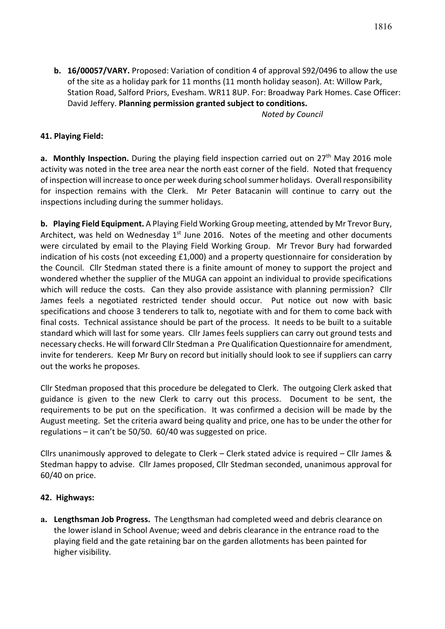**b. 16/00057/VARY.** Proposed: Variation of condition 4 of approval S92/0496 to allow the use of the site as a holiday park for 11 months (11 month holiday season). At: Willow Park, Station Road, Salford Priors, Evesham. WR11 8UP. For: Broadway Park Homes. Case Officer: David Jeffery. **Planning permission granted subject to conditions.**

*Noted by Council*

## **41. Playing Field:**

**a.** Monthly Inspection. During the playing field inspection carried out on 27<sup>th</sup> May 2016 mole activity was noted in the tree area near the north east corner of the field. Noted that frequency of inspection will increase to once per week during school summer holidays. Overall responsibility for inspection remains with the Clerk. Mr Peter Batacanin will continue to carry out the inspections including during the summer holidays.

**b. Playing Field Equipment.** A Playing Field Working Group meeting, attended by Mr Trevor Bury, Architect, was held on Wednesday  $1<sup>st</sup>$  June 2016. Notes of the meeting and other documents were circulated by email to the Playing Field Working Group. Mr Trevor Bury had forwarded indication of his costs (not exceeding £1,000) and a property questionnaire for consideration by the Council. Cllr Stedman stated there is a finite amount of money to support the project and wondered whether the supplier of the MUGA can appoint an individual to provide specifications which will reduce the costs. Can they also provide assistance with planning permission? Cllr James feels a negotiated restricted tender should occur. Put notice out now with basic specifications and choose 3 tenderers to talk to, negotiate with and for them to come back with final costs. Technical assistance should be part of the process. It needs to be built to a suitable standard which will last for some years. Cllr James feels suppliers can carry out ground tests and necessary checks. He will forward Cllr Stedman a Pre Qualification Questionnaire for amendment, invite for tenderers. Keep Mr Bury on record but initially should look to see if suppliers can carry out the works he proposes.

Cllr Stedman proposed that this procedure be delegated to Clerk. The outgoing Clerk asked that guidance is given to the new Clerk to carry out this process. Document to be sent, the requirements to be put on the specification. It was confirmed a decision will be made by the August meeting. Set the criteria award being quality and price, one has to be under the other for regulations – it can't be 50/50. 60/40 was suggested on price.

Cllrs unanimously approved to delegate to Clerk – Clerk stated advice is required – Cllr James & Stedman happy to advise. Cllr James proposed, Cllr Stedman seconded, unanimous approval for 60/40 on price.

#### **42. Highways:**

**a. Lengthsman Job Progress.** The Lengthsman had completed weed and debris clearance on the lower island in School Avenue; weed and debris clearance in the entrance road to the playing field and the gate retaining bar on the garden allotments has been painted for higher visibility.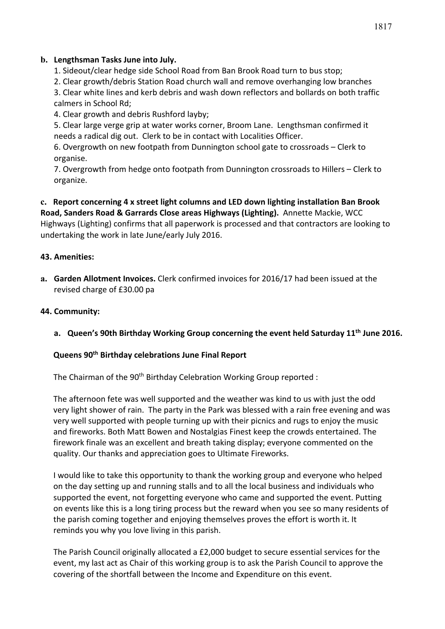## **b. Lengthsman Tasks June into July.**

1. Sideout/clear hedge side School Road from Ban Brook Road turn to bus stop;

2. Clear growth/debris Station Road church wall and remove overhanging low branches

3. Clear white lines and kerb debris and wash down reflectors and bollards on both traffic calmers in School Rd;

4. Clear growth and debris Rushford layby;

5. Clear large verge grip at water works corner, Broom Lane. Lengthsman confirmed it needs a radical dig out. Clerk to be in contact with Localities Officer.

6. Overgrowth on new footpath from Dunnington school gate to crossroads – Clerk to organise.

7. Overgrowth from hedge onto footpath from Dunnington crossroads to Hillers – Clerk to organize.

**c. Report concerning 4 x street light columns and LED down lighting installation Ban Brook Road, Sanders Road & Garrards Close areas Highways (Lighting).** Annette Mackie, WCC Highways (Lighting) confirms that all paperwork is processed and that contractors are looking to undertaking the work in late June/early July 2016.

## **43. Amenities:**

**a. Garden Allotment Invoices.** Clerk confirmed invoices for 2016/17 had been issued at the revised charge of £30.00 pa

## **44. Community:**

**a. Queen's 90th Birthday Working Group concerning the event held Saturday 11th June 2016.** 

#### **Queens 90th Birthday celebrations June Final Report**

The Chairman of the 90<sup>th</sup> Birthday Celebration Working Group reported :

The afternoon fete was well supported and the weather was kind to us with just the odd very light shower of rain. The party in the Park was blessed with a rain free evening and was very well supported with people turning up with their picnics and rugs to enjoy the music and fireworks. Both Matt Bowen and Nostalgias Finest keep the crowds entertained. The firework finale was an excellent and breath taking display; everyone commented on the quality. Our thanks and appreciation goes to Ultimate Fireworks.

I would like to take this opportunity to thank the working group and everyone who helped on the day setting up and running stalls and to all the local business and individuals who supported the event, not forgetting everyone who came and supported the event. Putting on events like this is a long tiring process but the reward when you see so many residents of the parish coming together and enjoying themselves proves the effort is worth it. It reminds you why you love living in this parish.

The Parish Council originally allocated a £2,000 budget to secure essential services for the event, my last act as Chair of this working group is to ask the Parish Council to approve the covering of the shortfall between the Income and Expenditure on this event.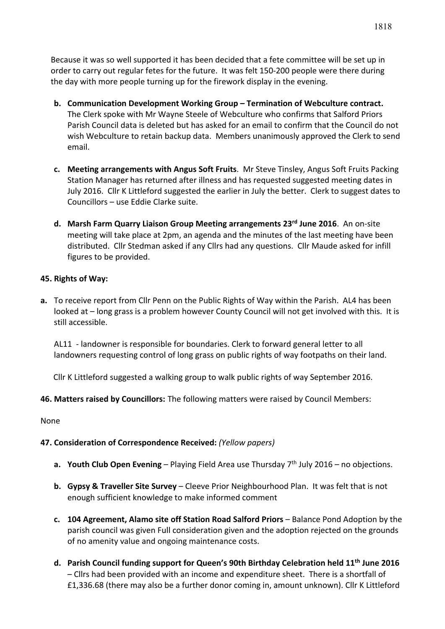Because it was so well supported it has been decided that a fete committee will be set up in order to carry out regular fetes for the future. It was felt 150-200 people were there during the day with more people turning up for the firework display in the evening.

- **b. Communication Development Working Group – Termination of Webculture contract.** The Clerk spoke with Mr Wayne Steele of Webculture who confirms that Salford Priors Parish Council data is deleted but has asked for an email to confirm that the Council do not wish Webculture to retain backup data. Members unanimously approved the Clerk to send email.
- **c. Meeting arrangements with Angus Soft Fruits**. Mr Steve Tinsley, Angus Soft Fruits Packing Station Manager has returned after illness and has requested suggested meeting dates in July 2016. Cllr K Littleford suggested the earlier in July the better. Clerk to suggest dates to Councillors – use Eddie Clarke suite.
- **d. Marsh Farm Quarry Liaison Group Meeting arrangements 23rd June 2016**. An on-site meeting will take place at 2pm, an agenda and the minutes of the last meeting have been distributed. Cllr Stedman asked if any Cllrs had any questions. Cllr Maude asked for infill figures to be provided.

## **45. Rights of Way:**

**a.** To receive report from Cllr Penn on the Public Rights of Way within the Parish. AL4 has been looked at – long grass is a problem however County Council will not get involved with this. It is still accessible.

AL11 - landowner is responsible for boundaries. Clerk to forward general letter to all landowners requesting control of long grass on public rights of way footpaths on their land.

Cllr K Littleford suggested a walking group to walk public rights of way September 2016.

## **46. Matters raised by Councillors:** The following matters were raised by Council Members:

None

## **47. Consideration of Correspondence Received:** *(Yellow papers)*

- **a.** Youth Club Open Evening Playing Field Area use Thursday 7<sup>th</sup> July 2016 no objections.
- **b. Gypsy & Traveller Site Survey** Cleeve Prior Neighbourhood Plan. It was felt that is not enough sufficient knowledge to make informed comment
- **c. 104 Agreement, Alamo site off Station Road Salford Priors** Balance Pond Adoption by the parish council was given Full consideration given and the adoption rejected on the grounds of no amenity value and ongoing maintenance costs.
- **d. Parish Council funding support for Queen's 90th Birthday Celebration held 11th June 2016** – Cllrs had been provided with an income and expenditure sheet. There is a shortfall of £1,336.68 (there may also be a further donor coming in, amount unknown). Cllr K Littleford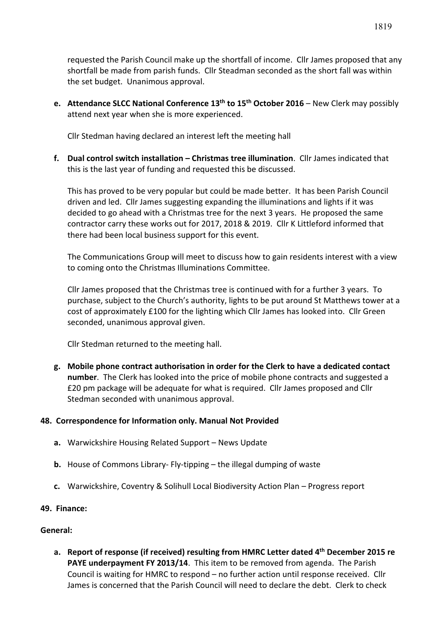requested the Parish Council make up the shortfall of income. Cllr James proposed that any shortfall be made from parish funds. Cllr Steadman seconded as the short fall was within the set budget. Unanimous approval.

**e. Attendance SLCC National Conference 13th to 15th October 2016** – New Clerk may possibly attend next year when she is more experienced.

Cllr Stedman having declared an interest left the meeting hall

**f. Dual control switch installation – Christmas tree illumination**. Cllr James indicated that this is the last year of funding and requested this be discussed.

This has proved to be very popular but could be made better. It has been Parish Council driven and led. Cllr James suggesting expanding the illuminations and lights if it was decided to go ahead with a Christmas tree for the next 3 years. He proposed the same contractor carry these works out for 2017, 2018 & 2019. Cllr K Littleford informed that there had been local business support for this event.

The Communications Group will meet to discuss how to gain residents interest with a view to coming onto the Christmas Illuminations Committee.

Cllr James proposed that the Christmas tree is continued with for a further 3 years. To purchase, subject to the Church's authority, lights to be put around St Matthews tower at a cost of approximately £100 for the lighting which Cllr James has looked into. Cllr Green seconded, unanimous approval given.

Cllr Stedman returned to the meeting hall.

**g. Mobile phone contract authorisation in order for the Clerk to have a dedicated contact number**. The Clerk has looked into the price of mobile phone contracts and suggested a £20 pm package will be adequate for what is required. Cllr James proposed and Cllr Stedman seconded with unanimous approval.

#### **48. Correspondence for Information only. Manual Not Provided**

- **a.** Warwickshire Housing Related Support News Update
- **b.** House of Commons Library- Fly-tipping the illegal dumping of waste
- **c.** Warwickshire, Coventry & Solihull Local Biodiversity Action Plan Progress report
- **49. Finance:**

#### **General:**

**a. Report of response (if received) resulting from HMRC Letter dated 4th December 2015 re PAYE underpayment FY 2013/14**. This item to be removed from agenda. The Parish Council is waiting for HMRC to respond – no further action until response received. Cllr James is concerned that the Parish Council will need to declare the debt. Clerk to check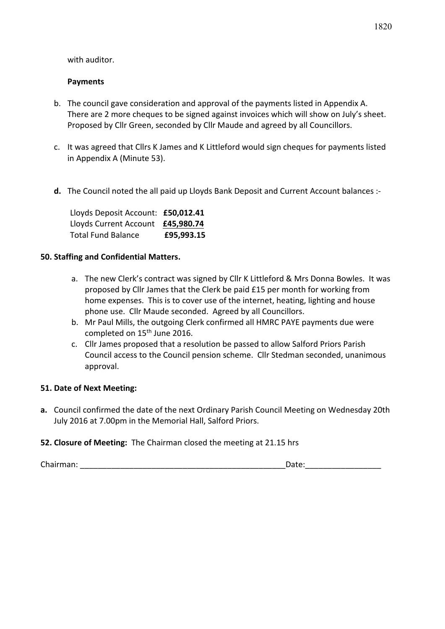with auditor.

## **Payments**

- b. The council gave consideration and approval of the payments listed in Appendix A. There are 2 more cheques to be signed against invoices which will show on July's sheet. Proposed by Cllr Green, seconded by Cllr Maude and agreed by all Councillors.
- c. It was agreed that Cllrs K James and K Littleford would sign cheques for payments listed in Appendix A (Minute 53).
- **d.** The Council noted the all paid up Lloyds Bank Deposit and Current Account balances :-

Lloyds Deposit Account: **£50,012.41** Lloyds Current Account **£45,980.74** Total Fund Balance **£95,993.15**

## **50. Staffing and Confidential Matters.**

- a. The new Clerk's contract was signed by Cllr K Littleford & Mrs Donna Bowles. It was proposed by Cllr James that the Clerk be paid £15 per month for working from home expenses. This is to cover use of the internet, heating, lighting and house phone use. Cllr Maude seconded. Agreed by all Councillors.
- b. Mr Paul Mills, the outgoing Clerk confirmed all HMRC PAYE payments due were completed on 15<sup>th</sup> June 2016.
- c. Cllr James proposed that a resolution be passed to allow Salford Priors Parish Council access to the Council pension scheme. Cllr Stedman seconded, unanimous approval.

## **51. Date of Next Meeting:**

**a.** Council confirmed the date of the next Ordinary Parish Council Meeting on Wednesday 20th July 2016 at 7.00pm in the Memorial Hall, Salford Priors.

## **52. Closure of Meeting:** The Chairman closed the meeting at 21.15 hrs

Chairman: \_\_\_\_\_\_\_\_\_\_\_\_\_\_\_\_\_\_\_\_\_\_\_\_\_\_\_\_\_\_\_\_\_\_\_\_\_\_\_\_\_\_\_\_\_\_Date:\_\_\_\_\_\_\_\_\_\_\_\_\_\_\_\_\_